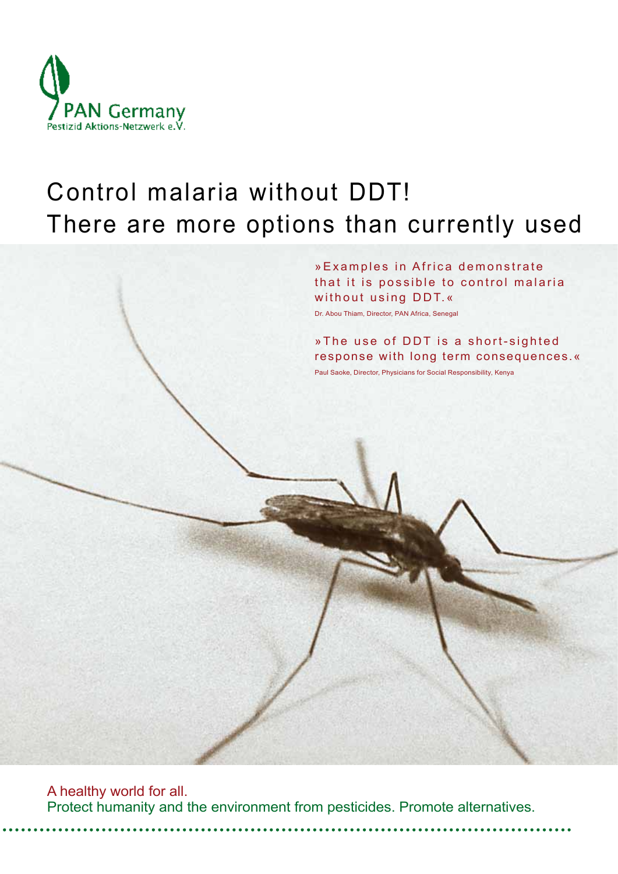

# Control malaria without DDT! There are more options than currently used

» Examples in Africa demonstrate that it is possible to control malaria without using DDT.«

Dr. Abou Thiam, Director, PAN Africa, Senegal

» The use of DDT is a short-sighted response with long term consequences.« Paul Saoke, Director, Physicians for Social Responsibility, Kenya

A healthy world for all. Protect humanity and the environment from pesticides. Promote alternatives.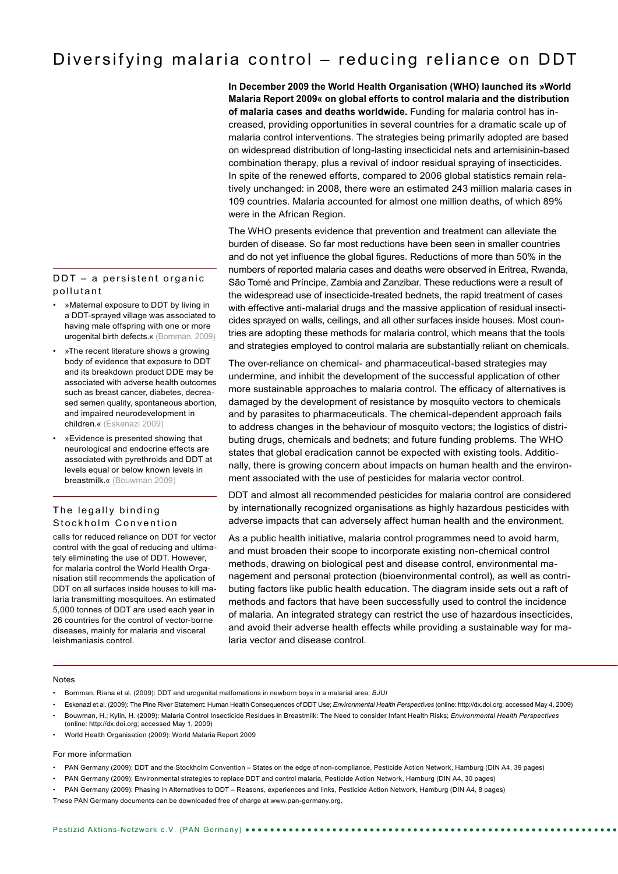# Diversifying malaria control – reducing reliance on DDT

 $DDT - a$  persistent organic pollutant

- »Maternal exposure to DDT by living in a DDT-sprayed village was associated to having male offspring with one or more urogenital birth defects.« (Bornman, 2009)
- »The recent literature shows a growing body of evidence that exposure to DDT and its breakdown product DDE may be associated with adverse health outcomes such as breast cancer, diabetes, decreased semen quality, spontaneous abortion, and impaired neurodevelopment in children.« (Eskenazi 2009)
- »Evidence is presented showing that neurological and endocrine effects are associated with pyrethroids and DDT at levels equal or below known levels in breastmilk.« (Bouwman 2009)

### The legally binding Stockholm Convention

calls for reduced reliance on DDT for vector control with the goal of reducing and ultimately eliminating the use of DDT. However, for malaria control the World Health Organisation still recommends the application of DDT on all surfaces inside houses to kill malaria transmitting mosquitoes. An estimated 5,000 tonnes of DDT are used each year in 26 countries for the control of vector-borne diseases, mainly for malaria and visceral leishmaniasis control.

**In December 2009 the World Health Organisation (WHO) launched its »World Malaria Report 2009« on global efforts to control malaria and the distribution of malaria cases and deaths worldwide.** Funding for malaria control has increased, providing opportunities in several countries for a dramatic scale up of malaria control interventions. The strategies being primarily adopted are based on widespread distribution of long-lasting insecticidal nets and artemisinin-based combination therapy, plus a revival of indoor residual spraying of insecticides. In spite of the renewed efforts, compared to 2006 global statistics remain relatively unchanged: in 2008, there were an estimated 243 million malaria cases in 109 countries. Malaria accounted for almost one million deaths, of which 89% were in the African Region.

The WHO presents evidence that prevention and treatment can alleviate the burden of disease. So far most reductions have been seen in smaller countries and do not yet influence the global figures. Reductions of more than 50% in the numbers of reported malaria cases and deaths were observed in Eritrea, Rwanda, São Tomé and Príncipe, Zambia and Zanzibar. These reductions were a result of the widespread use of insecticide-treated bednets, the rapid treatment of cases with effective anti-malarial drugs and the massive application of residual insecticides sprayed on walls, ceilings, and all other surfaces inside houses. Most countries are adopting these methods for malaria control, which means that the tools and strategies employed to control malaria are substantially reliant on chemicals.

The over-reliance on chemical- and pharmaceutical-based strategies may undermine, and inhibit the development of the successful application of other more sustainable approaches to malaria control. The efficacy of alternatives is damaged by the development of resistance by mosquito vectors to chemicals and by parasites to pharmaceuticals. The chemical-dependent approach fails to address changes in the behaviour of mosquito vectors; the logistics of distributing drugs, chemicals and bednets; and future funding problems. The WHO states that global eradication cannot be expected with existing tools. Additionally, there is growing concern about impacts on human health and the environment associated with the use of pesticides for malaria vector control.

DDT and almost all recommended pesticides for malaria control are considered by internationally recognized organisations as highly hazardous pesticides with adverse impacts that can adversely affect human health and the environment.

As a public health initiative, malaria control programmes need to avoid harm, and must broaden their scope to incorporate existing non-chemical control methods, drawing on biological pest and disease control, environmental management and personal protection (bioenvironmental control), as well as contributing factors like public health education. The diagram inside sets out a raft of methods and factors that have been successfully used to control the incidence of malaria. An integrated strategy can restrict the use of hazardous insecticides, and avoid their adverse health effects while providing a sustainable way for malaria vector and disease control.

#### Notes

- Bornman, Riana et al. (2009): DDT and urogenital malfomations in newborn boys in a malarial area; *BJUI*
- Eskenazi et al. (2009): The Pine River Statement: Human Health Consequences of DDT Use; *Environmental Health Perspectives* (online: http://dx.doi.org; accessed May 4, 2009)
- Bouwman, H.; Kylin, H. (2009): Malaria Control Insecticide Residues in Breastmilk: The Need to consider Infant Health Risks; *Environmental Health Perspectives* (online: http://dx.doi.org; accessed May 1, 2009)
- World Health Organisation (2009): World Malaria Report 2009

#### For more information

- PAN Germany (2009): DDT and the Stockholm Convention States on the edge of non-compliance, Pesticide Action Network, Hamburg (DIN A4, 39 pages)
- PAN Germany (2009): Environmental strategies to replace DDT and control malaria, Pesticide Action Network, Hamburg (DIN A4, 30 pages)
- PAN Germany (2009): Phasing in Alternatives to DDT Reasons, experiences and links, Pesticide Action Network, Hamburg (DIN A4, 8 pages)
- These PAN Germany documents can be downloaded free of charge at www.pan-germany.org.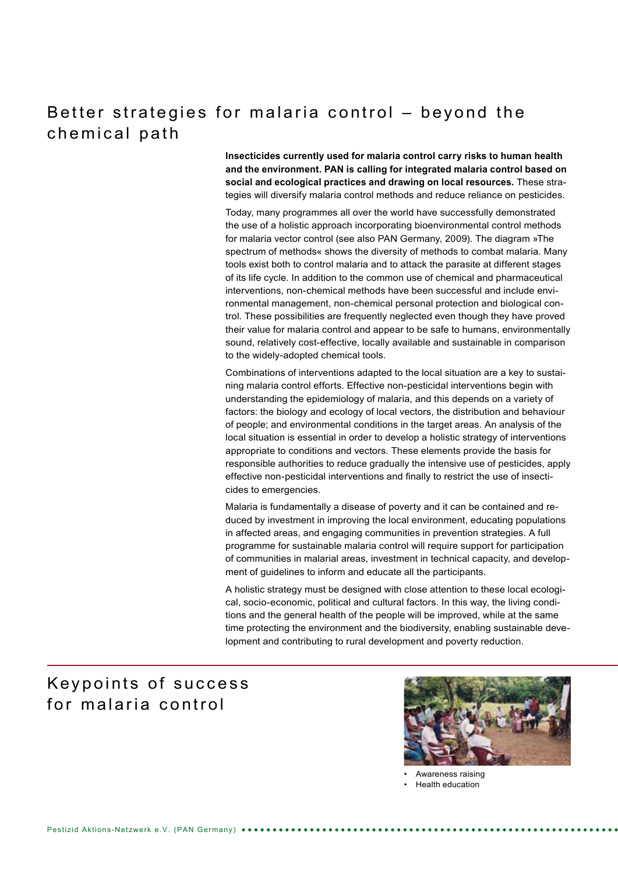### Better strategies for malaria control  $-$  beyond the chemical path

**Insecticides currently used for malaria control carry risks to human health and the environment. PAN is calling for integrated malaria control based on social and ecological practices and drawing on local resources.** These strategies will diversify malaria control methods and reduce reliance on pesticides.

Today, many programmes all over the world have successfully demonstrated the use of a holistic approach incorporating bioenvironmental control methods for malaria vector control (see also PAN Germany, 2009). The diagram »The spectrum of methods« shows the diversity of methods to combat malaria. Many tools exist both to control malaria and to attack the parasite at different stages of its life cycle. In addition to the common use of chemical and pharmaceutical interventions, non-chemical methods have been successful and include environmental management, non-chemical personal protection and biological control. These possibilities are frequently neglected even though they have proved their value for malaria control and appear to be safe to humans, environmentally sound, relatively cost-effective, locally available and sustainable in comparison to the widely-adopted chemical tools.

Combinations of interventions adapted to the local situation are a key to sustaining malaria control efforts. Effective non-pesticidal interventions begin with understanding the epidemiology of malaria, and this depends on a variety of factors: the biology and ecology of local vectors, the distribution and behaviour of people; and environmental conditions in the target areas. An analysis of the local situation is essential in order to develop a holistic strategy of interventions appropriate to conditions and vectors. These elements provide the basis for responsible authorities to reduce gradually the intensive use of pesticides, apply effective non-pesticidal interventions and finally to restrict the use of insecticides to emergencies.

Malaria is fundamentally a disease of poverty and it can be contained and reduced by investment in improving the local environment, educating populations in affected areas, and engaging communities in prevention strategies. A full programme for sustainable malaria control will require support for participation of communities in malarial areas, investment in technical capacity, and development of guidelines to inform and educate all the participants.

A holistic strategy must be designed with close attention to these local ecological, socio-economic, political and cultural factors. In this way, the living conditions and the general health of the people will be improved, while at the same time protecting the environment and the biodiversity, enabling sustainable development and contributing to rural development and poverty reduction.

## Keypoints of success for malaria control



• Awareness raising • Health education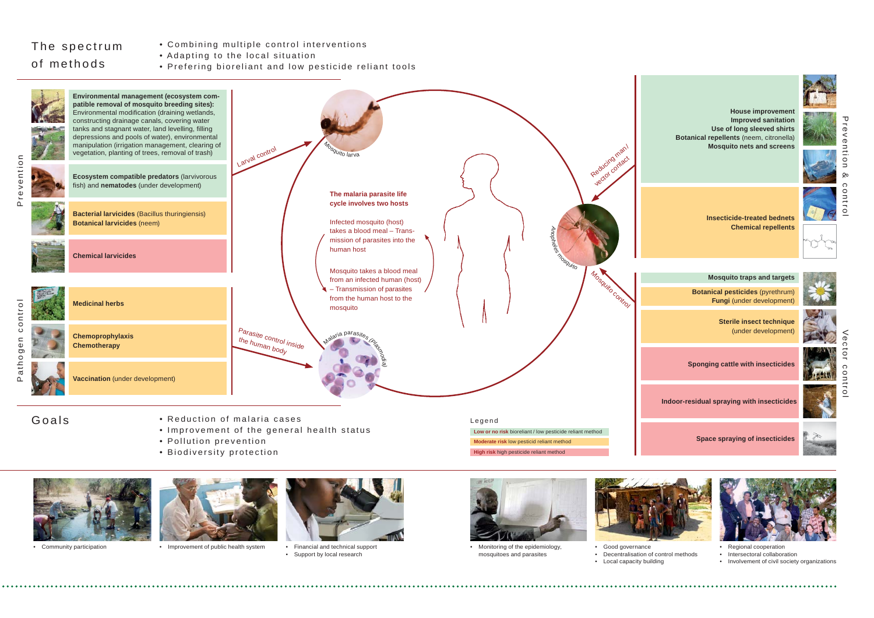### The spectrum of methods

- Combining multiple control interventions
- Adapting to the local situation
- Prefering bioreliant and low pesticide reliant tools



• Biodiversity protection







• Community participation • Improvement of public health system • Financial and technical support • Support by local research



• Monitoring of the epidemiology, mosquitoes and parasites



• Local capacity building

- Regional cooperation
- Decentralisation of control methods
	- Involvement of civil society organizations